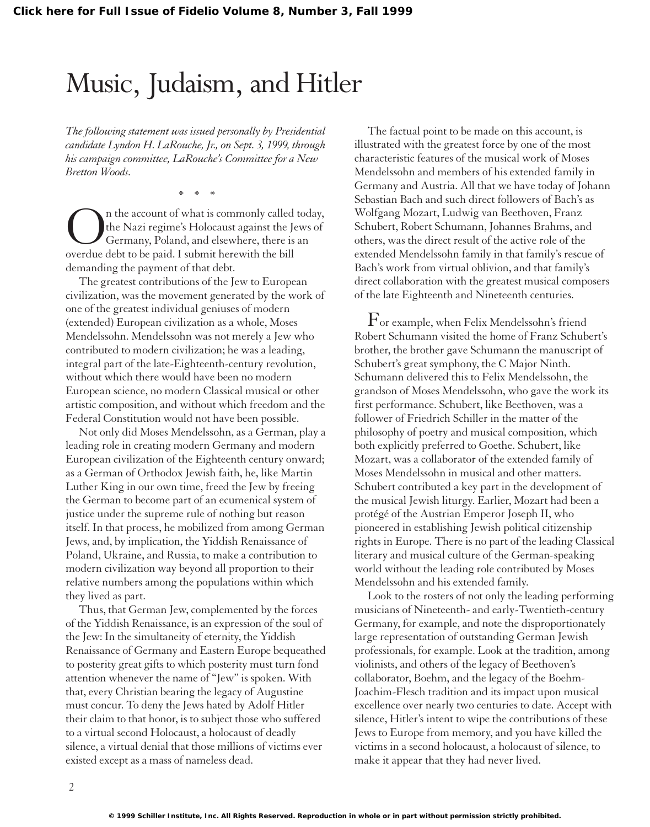## Music, Judaism, and Hitler

*The following statement was issued personally by Presidential candidate Lyndon H. LaRouche, Jr., on Sept. 3, 1999, through his campaign committee, LaRouche's Committee for a New Bretton Woods.*

\*\*\*

n the account of what is commonly called today, the Nazi regime's Holocaust against the Jews of Germany, Poland, and elsewhere, there is an overdue debt to be paid. I submit herewith the bill demanding the payment of that debt.

The greatest contributions of the Jew to European civilization, was the movement generated by the work of one of the greatest individual geniuses of modern (extended) European civilization as a whole, Moses Mendelssohn. Mendelssohn was not merely a Jew who contributed to modern civilization; he was a leading, integral part of the late-Eighteenth-century revolution, without which there would have been no modern European science, no modern Classical musical or other artistic composition, and without which freedom and the Federal Constitution would not have been possible.

Not only did Moses Mendelssohn, as a German, play a leading role in creating modern Germany and modern European civilization of the Eighteenth century onward; as a German of Orthodox Jewish faith, he, like Martin Luther King in our own time, freed the Jew by freeing the German to become part of an ecumenical system of justice under the supreme rule of nothing but reason itself. In that process, he mobilized from among German Jews, and, by implication, the Yiddish Renaissance of Poland, Ukraine, and Russia, to make a contribution to modern civilization way beyond all proportion to their relative numbers among the populations within which they lived as part.

Thus, that German Jew, complemented by the forces of the Yiddish Renaissance, is an expression of the soul of the Jew: In the simultaneity of eternity, the Yiddish Renaissance of Germany and Eastern Europe bequeathed to posterity great gifts to which posterity must turn fond attention whenever the name of "Jew" is spoken. With that, every Christian bearing the legacy of Augustine must concur. To deny the Jews hated by Adolf Hitler their claim to that honor, is to subject those who suffered to a virtual second Holocaust, a holocaust of deadly silence, a virtual denial that those millions of victims ever existed except as a mass of nameless dead.

The factual point to be made on this account, is illustrated with the greatest force by one of the most characteristic features of the musical work of Moses Mendelssohn and members of his extended family in Germany and Austria. All that we have today of Johann Sebastian Bach and such direct followers of Bach's as Wolfgang Mozart, Ludwig van Beethoven, Franz Schubert, Robert Schumann, Johannes Brahms, and others, was the direct result of the active role of the extended Mendelssohn family in that family's rescue of Bach's work from virtual oblivion, and that family's direct collaboration with the greatest musical composers of the late Eighteenth and Nineteenth centuries.

 $\Gamma$ or example, when Felix Mendelssohn's friend Robert Schumann visited the home of Franz Schubert's brother, the brother gave Schumann the manuscript of Schubert's great symphony, the C Major Ninth. Schumann delivered this to Felix Mendelssohn, the grandson of Moses Mendelssohn, who gave the work its first performance. Schubert, like Beethoven, was a follower of Friedrich Schiller in the matter of the philosophy of poetry and musical composition, which both explicitly preferred to Goethe. Schubert, like Mozart, was a collaborator of the extended family of Moses Mendelssohn in musical and other matters. Schubert contributed a key part in the development of the musical Jewish liturgy. Earlier, Mozart had been a protégé of the Austrian Emperor Joseph II, who pioneered in establishing Jewish political citizenship rights in Europe. There is no part of the leading Classical literary and musical culture of the German-speaking world without the leading role contributed by Moses Mendelssohn and his extended family.

Look to the rosters of not only the leading performing musicians of Nineteenth- and early-Twentieth-century Germany, for example, and note the disproportionately large representation of outstanding German Jewish professionals, for example. Look at the tradition, among violinists, and others of the legacy of Beethoven's collaborator, Boehm, and the legacy of the Boehm-Joachim-Flesch tradition and its impact upon musical excellence over nearly two centuries to date. Accept with silence, Hitler's intent to wipe the contributions of these Jews to Europe from memory, and you have killed the victims in a second holocaust, a holocaust of silence, to make it appear that they had never lived.